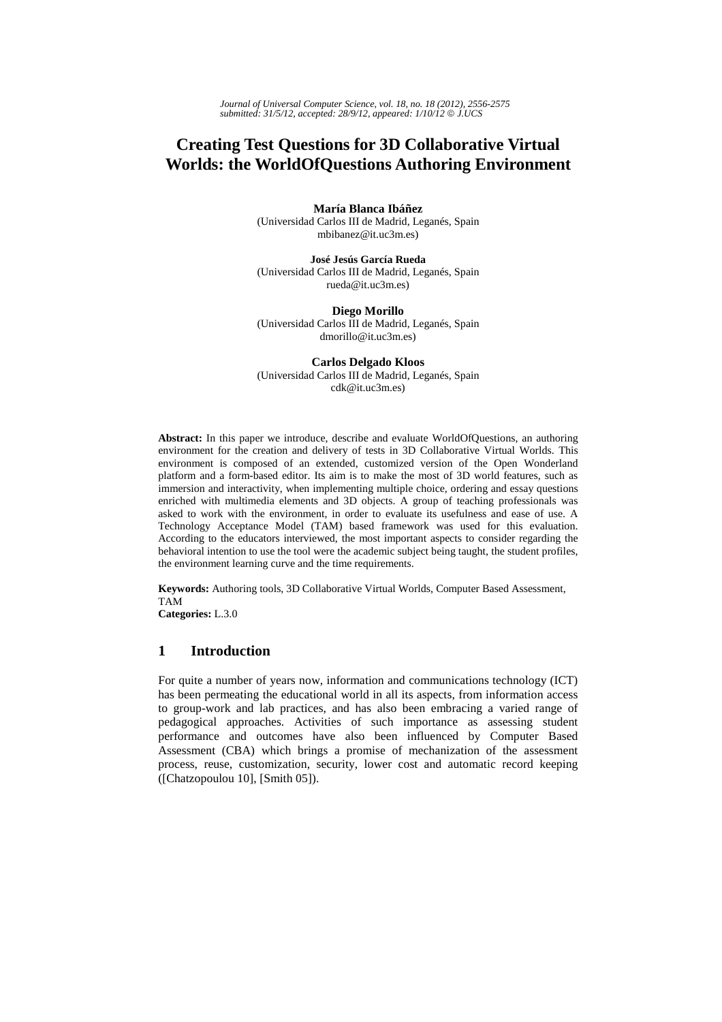# **Creating Test Questions for 3D Collaborative Virtual Worlds: the WorldOfQuestions Authoring Environment**

**María Blanca Ibáñez** 

(Universidad Carlos III de Madrid, Leganés, Spain mbibanez@it.uc3m.es)

**José Jesús García Rueda**  (Universidad Carlos III de Madrid, Leganés, Spain rueda@it.uc3m.es)

**Diego Morillo**  (Universidad Carlos III de Madrid, Leganés, Spain dmorillo@it.uc3m.es)

**Carlos Delgado Kloos**  (Universidad Carlos III de Madrid, Leganés, Spain cdk@it.uc3m.es)

**Abstract:** In this paper we introduce, describe and evaluate WorldOfQuestions, an authoring environment for the creation and delivery of tests in 3D Collaborative Virtual Worlds. This environment is composed of an extended, customized version of the Open Wonderland platform and a form-based editor. Its aim is to make the most of 3D world features, such as immersion and interactivity, when implementing multiple choice, ordering and essay questions enriched with multimedia elements and 3D objects. A group of teaching professionals was asked to work with the environment, in order to evaluate its usefulness and ease of use. A Technology Acceptance Model (TAM) based framework was used for this evaluation. According to the educators interviewed, the most important aspects to consider regarding the behavioral intention to use the tool were the academic subject being taught, the student profiles, the environment learning curve and the time requirements.

**Keywords:** Authoring tools, 3D Collaborative Virtual Worlds, Computer Based Assessment, TAM

**Categories:** L.3.0

## **1 Introduction**

For quite a number of years now, information and communications technology (ICT) has been permeating the educational world in all its aspects, from information access to group-work and lab practices, and has also been embracing a varied range of pedagogical approaches. Activities of such importance as assessing student performance and outcomes have also been influenced by Computer Based Assessment (CBA) which brings a promise of mechanization of the assessment process, reuse, customization, security, lower cost and automatic record keeping ([Chatzopoulou 10], [Smith 05]).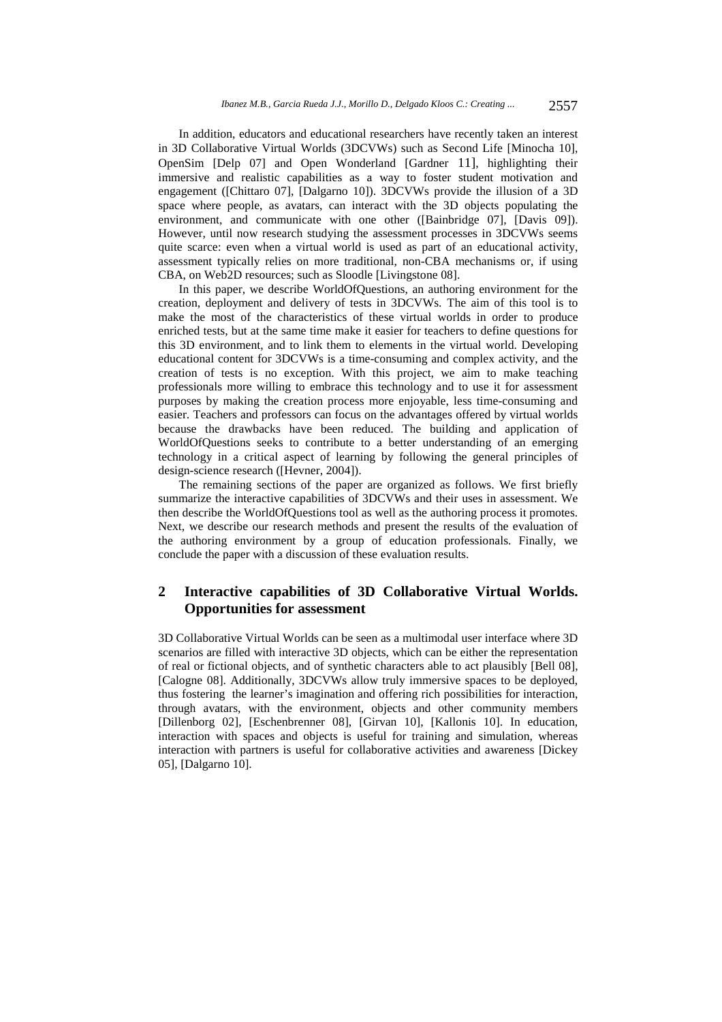In addition, educators and educational researchers have recently taken an interest in 3D Collaborative Virtual Worlds (3DCVWs) such as Second Life [Minocha 10], OpenSim [Delp 07] and Open Wonderland [Gardner 11], highlighting their immersive and realistic capabilities as a way to foster student motivation and engagement ([Chittaro 07], [Dalgarno 10]). 3DCVWs provide the illusion of a 3D space where people, as avatars, can interact with the 3D objects populating the environment, and communicate with one other ([Bainbridge 07], [Davis 09]). However, until now research studying the assessment processes in 3DCVWs seems quite scarce: even when a virtual world is used as part of an educational activity, assessment typically relies on more traditional, non-CBA mechanisms or, if using CBA, on Web2D resources; such as Sloodle [Livingstone 08].

In this paper, we describe WorldOfQuestions, an authoring environment for the creation, deployment and delivery of tests in 3DCVWs. The aim of this tool is to make the most of the characteristics of these virtual worlds in order to produce enriched tests, but at the same time make it easier for teachers to define questions for this 3D environment, and to link them to elements in the virtual world. Developing educational content for 3DCVWs is a time-consuming and complex activity, and the creation of tests is no exception. With this project, we aim to make teaching professionals more willing to embrace this technology and to use it for assessment purposes by making the creation process more enjoyable, less time-consuming and easier. Teachers and professors can focus on the advantages offered by virtual worlds because the drawbacks have been reduced. The building and application of WorldOfQuestions seeks to contribute to a better understanding of an emerging technology in a critical aspect of learning by following the general principles of design-science research ([Hevner, 2004]).

The remaining sections of the paper are organized as follows. We first briefly summarize the interactive capabilities of 3DCVWs and their uses in assessment. We then describe the WorldOfQuestions tool as well as the authoring process it promotes. Next, we describe our research methods and present the results of the evaluation of the authoring environment by a group of education professionals. Finally, we conclude the paper with a discussion of these evaluation results.

## **2 Interactive capabilities of 3D Collaborative Virtual Worlds. Opportunities for assessment**

3D Collaborative Virtual Worlds can be seen as a multimodal user interface where 3D scenarios are filled with interactive 3D objects, which can be either the representation of real or fictional objects, and of synthetic characters able to act plausibly [Bell 08], [Calogne 08]. Additionally, 3DCVWs allow truly immersive spaces to be deployed, thus fostering the learner's imagination and offering rich possibilities for interaction, through avatars, with the environment, objects and other community members [Dillenborg 02], [Eschenbrenner 08], [Girvan 10], [Kallonis 10]. In education, interaction with spaces and objects is useful for training and simulation, whereas interaction with partners is useful for collaborative activities and awareness [Dickey 05], [Dalgarno 10].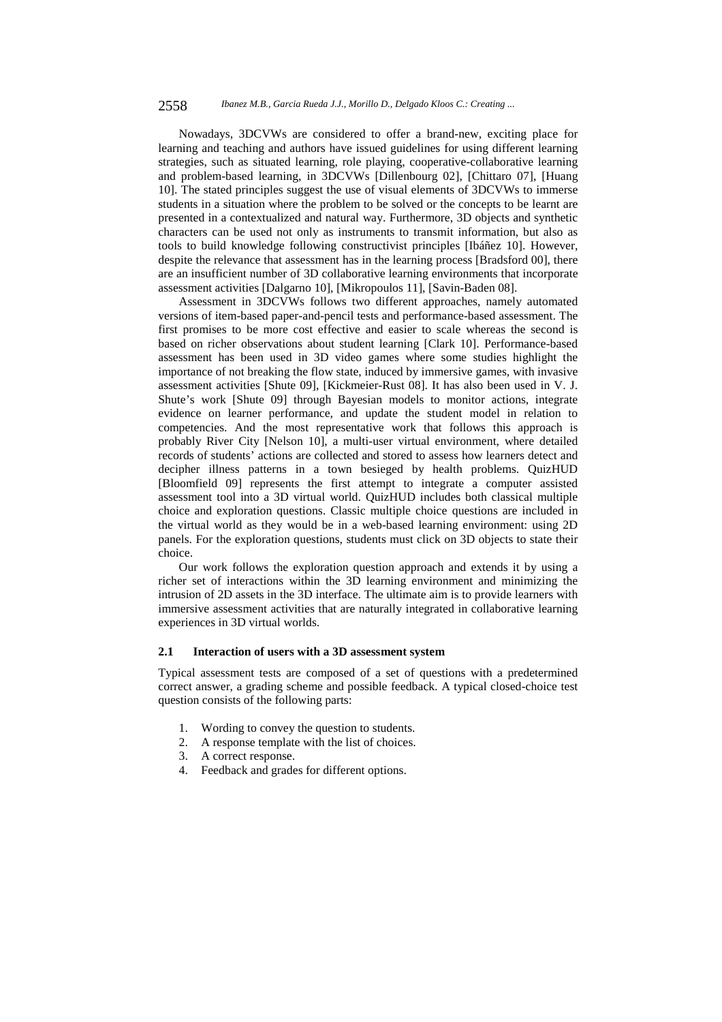Nowadays, 3DCVWs are considered to offer a brand-new, exciting place for learning and teaching and authors have issued guidelines for using different learning strategies, such as situated learning, role playing, cooperative-collaborative learning and problem-based learning, in 3DCVWs [Dillenbourg 02], [Chittaro 07], [Huang 10]. The stated principles suggest the use of visual elements of 3DCVWs to immerse students in a situation where the problem to be solved or the concepts to be learnt are presented in a contextualized and natural way. Furthermore, 3D objects and synthetic characters can be used not only as instruments to transmit information, but also as tools to build knowledge following constructivist principles [Ibáñez 10]. However, despite the relevance that assessment has in the learning process [Bradsford 00], there are an insufficient number of 3D collaborative learning environments that incorporate assessment activities [Dalgarno 10], [Mikropoulos 11], [Savin-Baden 08].

Assessment in 3DCVWs follows two different approaches, namely automated versions of item-based paper-and-pencil tests and performance-based assessment. The first promises to be more cost effective and easier to scale whereas the second is based on richer observations about student learning [Clark 10]. Performance-based assessment has been used in 3D video games where some studies highlight the importance of not breaking the flow state, induced by immersive games, with invasive assessment activities [Shute 09], [Kickmeier-Rust 08]. It has also been used in V. J. Shute's work [Shute 09] through Bayesian models to monitor actions, integrate evidence on learner performance, and update the student model in relation to competencies. And the most representative work that follows this approach is probably River City [Nelson 10], a multi-user virtual environment, where detailed records of students' actions are collected and stored to assess how learners detect and decipher illness patterns in a town besieged by health problems. QuizHUD [Bloomfield 09] represents the first attempt to integrate a computer assisted assessment tool into a 3D virtual world. QuizHUD includes both classical multiple choice and exploration questions. Classic multiple choice questions are included in the virtual world as they would be in a web-based learning environment: using 2D panels. For the exploration questions, students must click on 3D objects to state their choice.

Our work follows the exploration question approach and extends it by using a richer set of interactions within the 3D learning environment and minimizing the intrusion of 2D assets in the 3D interface. The ultimate aim is to provide learners with immersive assessment activities that are naturally integrated in collaborative learning experiences in 3D virtual worlds.

## **2.1 Interaction of users with a 3D assessment system**

Typical assessment tests are composed of a set of questions with a predetermined correct answer, a grading scheme and possible feedback. A typical closed-choice test question consists of the following parts:

- 1. Wording to convey the question to students.
- 2. A response template with the list of choices.
- 3. A correct response.
- 4. Feedback and grades for different options.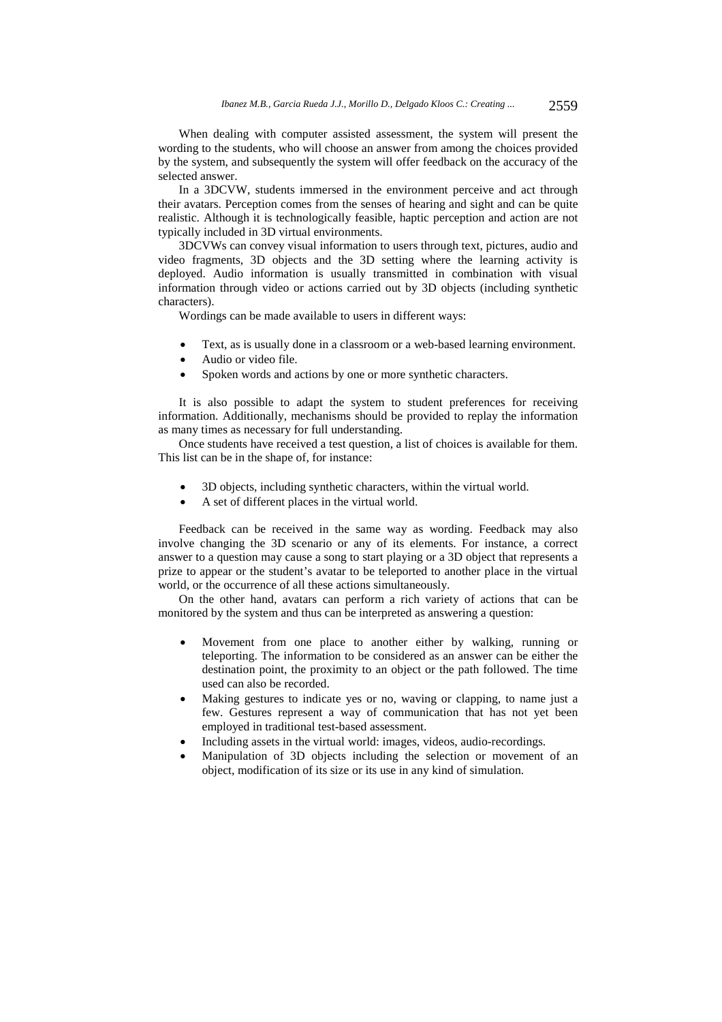When dealing with computer assisted assessment, the system will present the wording to the students, who will choose an answer from among the choices provided by the system, and subsequently the system will offer feedback on the accuracy of the selected answer.

In a 3DCVW, students immersed in the environment perceive and act through their avatars. Perception comes from the senses of hearing and sight and can be quite realistic. Although it is technologically feasible, haptic perception and action are not typically included in 3D virtual environments.

3DCVWs can convey visual information to users through text, pictures, audio and video fragments, 3D objects and the 3D setting where the learning activity is deployed. Audio information is usually transmitted in combination with visual information through video or actions carried out by 3D objects (including synthetic characters).

Wordings can be made available to users in different ways:

- Text, as is usually done in a classroom or a web-based learning environment.
- Audio or video file.
- Spoken words and actions by one or more synthetic characters.

It is also possible to adapt the system to student preferences for receiving information. Additionally, mechanisms should be provided to replay the information as many times as necessary for full understanding.

Once students have received a test question, a list of choices is available for them. This list can be in the shape of, for instance:

- 3D objects, including synthetic characters, within the virtual world.
- A set of different places in the virtual world.

Feedback can be received in the same way as wording. Feedback may also involve changing the 3D scenario or any of its elements. For instance, a correct answer to a question may cause a song to start playing or a 3D object that represents a prize to appear or the student's avatar to be teleported to another place in the virtual world, or the occurrence of all these actions simultaneously.

On the other hand, avatars can perform a rich variety of actions that can be monitored by the system and thus can be interpreted as answering a question:

- Movement from one place to another either by walking, running or teleporting. The information to be considered as an answer can be either the destination point, the proximity to an object or the path followed. The time used can also be recorded.
- Making gestures to indicate yes or no, waving or clapping, to name just a few. Gestures represent a way of communication that has not yet been employed in traditional test-based assessment.
- Including assets in the virtual world: images, videos, audio-recordings.
- Manipulation of 3D objects including the selection or movement of an object, modification of its size or its use in any kind of simulation.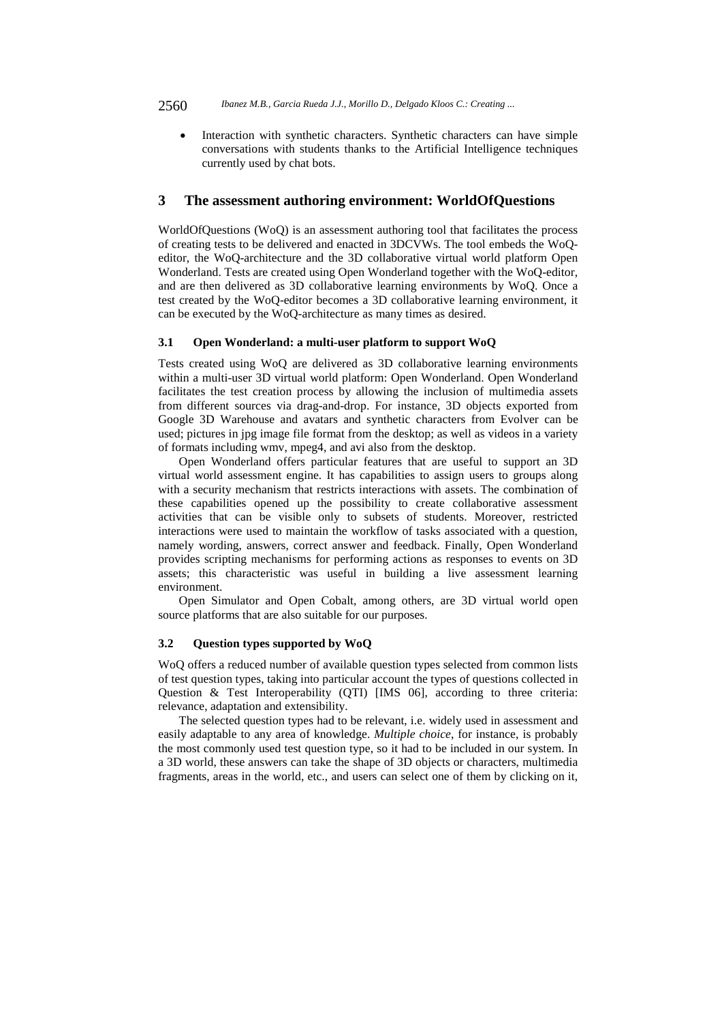Interaction with synthetic characters. Synthetic characters can have simple conversations with students thanks to the Artificial Intelligence techniques currently used by chat bots.

#### **3 The assessment authoring environment: WorldOfQuestions**

WorldOfQuestions (WoQ) is an assessment authoring tool that facilitates the process of creating tests to be delivered and enacted in 3DCVWs. The tool embeds the WoQeditor, the WoQ-architecture and the 3D collaborative virtual world platform Open Wonderland. Tests are created using Open Wonderland together with the WoQ-editor, and are then delivered as 3D collaborative learning environments by WoQ. Once a test created by the WoQ-editor becomes a 3D collaborative learning environment, it can be executed by the WoQ-architecture as many times as desired.

#### **3.1 Open Wonderland: a multi-user platform to support WoQ**

Tests created using WoQ are delivered as 3D collaborative learning environments within a multi-user 3D virtual world platform: Open Wonderland. Open Wonderland facilitates the test creation process by allowing the inclusion of multimedia assets from different sources via drag-and-drop. For instance, 3D objects exported from Google 3D Warehouse and avatars and synthetic characters from Evolver can be used; pictures in jpg image file format from the desktop; as well as videos in a variety of formats including wmv, mpeg4, and avi also from the desktop.

Open Wonderland offers particular features that are useful to support an 3D virtual world assessment engine. It has capabilities to assign users to groups along with a security mechanism that restricts interactions with assets. The combination of these capabilities opened up the possibility to create collaborative assessment activities that can be visible only to subsets of students. Moreover, restricted interactions were used to maintain the workflow of tasks associated with a question, namely wording, answers, correct answer and feedback. Finally, Open Wonderland provides scripting mechanisms for performing actions as responses to events on 3D assets; this characteristic was useful in building a live assessment learning environment.

Open Simulator and Open Cobalt, among others, are 3D virtual world open source platforms that are also suitable for our purposes.

## **3.2 Question types supported by WoQ**

WoQ offers a reduced number of available question types selected from common lists of test question types, taking into particular account the types of questions collected in Question & Test Interoperability (QTI) [IMS 06], according to three criteria: relevance, adaptation and extensibility.

The selected question types had to be relevant, i.e. widely used in assessment and easily adaptable to any area of knowledge. *Multiple choice*, for instance, is probably the most commonly used test question type, so it had to be included in our system. In a 3D world, these answers can take the shape of 3D objects or characters, multimedia fragments, areas in the world, etc., and users can select one of them by clicking on it,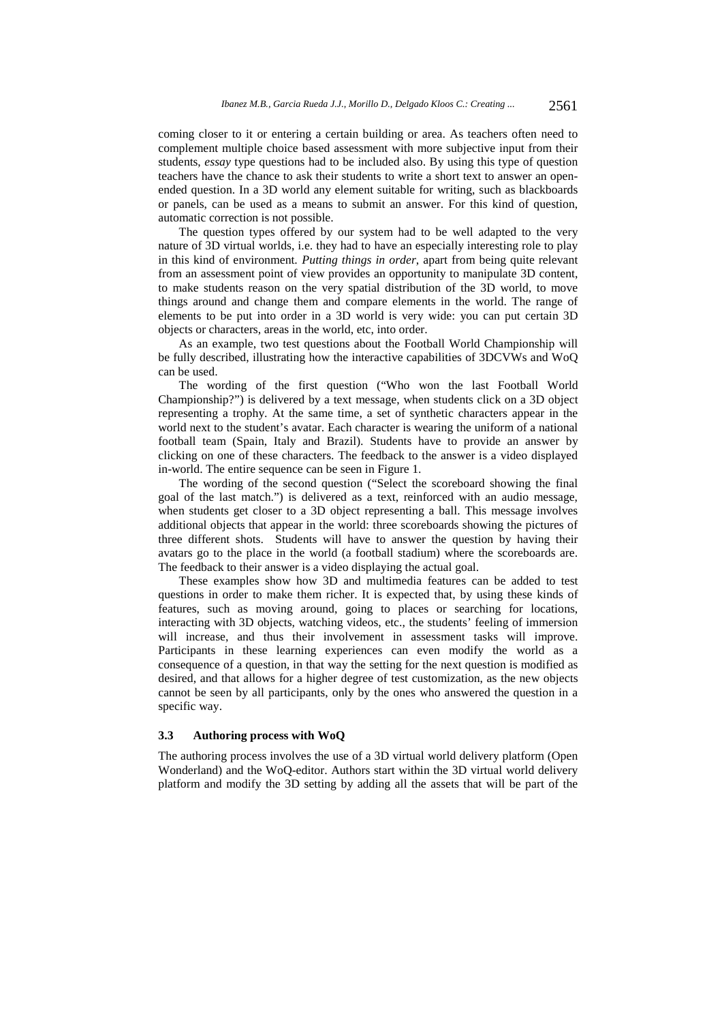coming closer to it or entering a certain building or area. As teachers often need to complement multiple choice based assessment with more subjective input from their students, *essay* type questions had to be included also. By using this type of question teachers have the chance to ask their students to write a short text to answer an openended question. In a 3D world any element suitable for writing, such as blackboards or panels, can be used as a means to submit an answer. For this kind of question, automatic correction is not possible.

The question types offered by our system had to be well adapted to the very nature of 3D virtual worlds, i.e. they had to have an especially interesting role to play in this kind of environment. *Putting things in order*, apart from being quite relevant from an assessment point of view provides an opportunity to manipulate 3D content, to make students reason on the very spatial distribution of the 3D world, to move things around and change them and compare elements in the world. The range of elements to be put into order in a 3D world is very wide: you can put certain 3D objects or characters, areas in the world, etc, into order.

As an example, two test questions about the Football World Championship will be fully described, illustrating how the interactive capabilities of 3DCVWs and WoQ can be used.

The wording of the first question ("Who won the last Football World Championship?") is delivered by a text message, when students click on a 3D object representing a trophy. At the same time, a set of synthetic characters appear in the world next to the student's avatar. Each character is wearing the uniform of a national football team (Spain, Italy and Brazil). Students have to provide an answer by clicking on one of these characters. The feedback to the answer is a video displayed in-world. The entire sequence can be seen in Figure 1.

The wording of the second question ("Select the scoreboard showing the final goal of the last match.") is delivered as a text, reinforced with an audio message, when students get closer to a 3D object representing a ball. This message involves additional objects that appear in the world: three scoreboards showing the pictures of three different shots. Students will have to answer the question by having their avatars go to the place in the world (a football stadium) where the scoreboards are. The feedback to their answer is a video displaying the actual goal.

These examples show how 3D and multimedia features can be added to test questions in order to make them richer. It is expected that, by using these kinds of features, such as moving around, going to places or searching for locations, interacting with 3D objects, watching videos, etc., the students' feeling of immersion will increase, and thus their involvement in assessment tasks will improve. Participants in these learning experiences can even modify the world as a consequence of a question, in that way the setting for the next question is modified as desired, and that allows for a higher degree of test customization, as the new objects cannot be seen by all participants, only by the ones who answered the question in a specific way.

#### **3.3 Authoring process with WoQ**

The authoring process involves the use of a 3D virtual world delivery platform (Open Wonderland) and the WoQ-editor. Authors start within the 3D virtual world delivery platform and modify the 3D setting by adding all the assets that will be part of the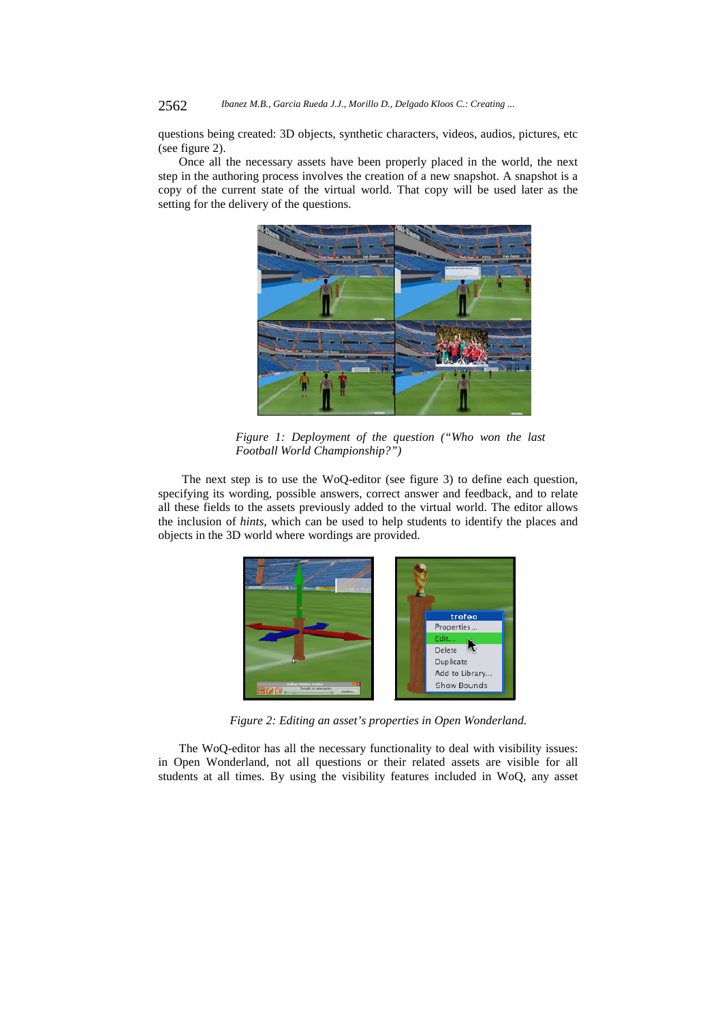questions being created: 3D objects, synthetic characters, videos, audios, pictures, etc (see figure 2).

Once all the necessary assets have been properly placed in the world, the next step in the authoring process involves the creation of a new snapshot. A snapshot is a copy of the current state of the virtual world. That copy will be used later as the setting for the delivery of the questions.



*Figure 1: Deployment of the question ("Who won the last Football World Championship?")* 

 The next step is to use the WoQ-editor (see figure 3) to define each question, specifying its wording, possible answers, correct answer and feedback, and to relate all these fields to the assets previously added to the virtual world. The editor allows the inclusion of *hints*, which can be used to help students to identify the places and objects in the 3D world where wordings are provided.



*Figure 2: Editing an asset's properties in Open Wonderland.* 

The WoQ-editor has all the necessary functionality to deal with visibility issues: in Open Wonderland, not all questions or their related assets are visible for all students at all times. By using the visibility features included in WoQ, any asset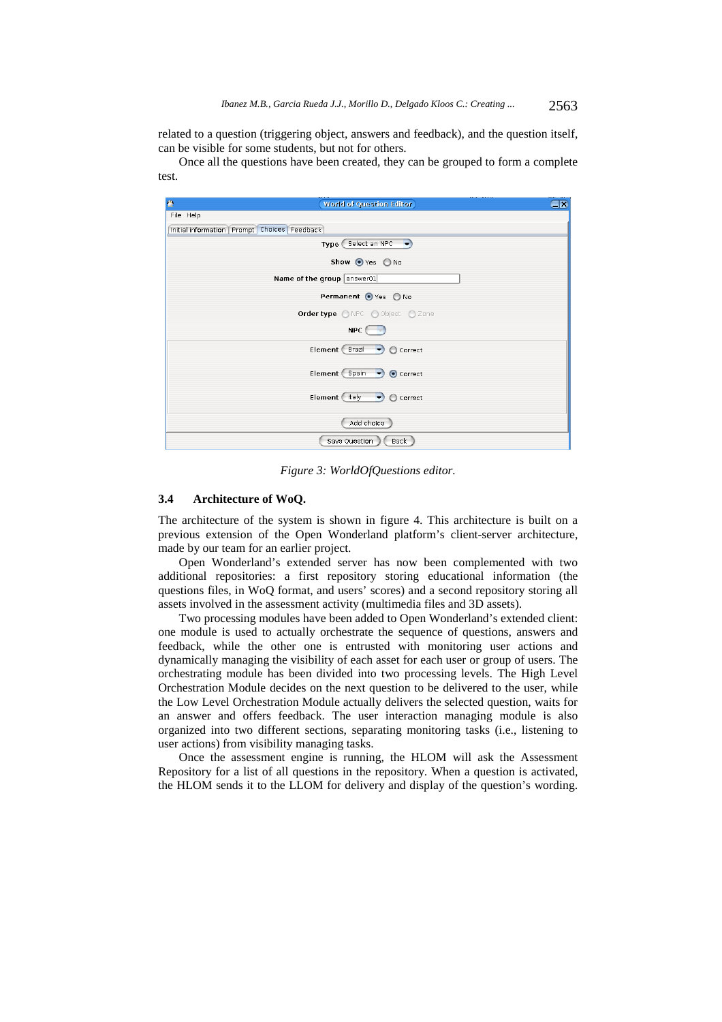related to a question (triggering object, answers and feedback), and the question itself, can be visible for some students, but not for others.

Once all the questions have been created, they can be grouped to form a complete test.



*Figure 3: WorldOfQuestions editor.* 

### **3.4 Architecture of WoQ.**

The architecture of the system is shown in figure 4. This architecture is built on a previous extension of the Open Wonderland platform's client-server architecture, made by our team for an earlier project.

Open Wonderland's extended server has now been complemented with two additional repositories: a first repository storing educational information (the questions files, in WoQ format, and users' scores) and a second repository storing all assets involved in the assessment activity (multimedia files and 3D assets).

Two processing modules have been added to Open Wonderland's extended client: one module is used to actually orchestrate the sequence of questions, answers and feedback, while the other one is entrusted with monitoring user actions and dynamically managing the visibility of each asset for each user or group of users. The orchestrating module has been divided into two processing levels. The High Level Orchestration Module decides on the next question to be delivered to the user, while the Low Level Orchestration Module actually delivers the selected question, waits for an answer and offers feedback. The user interaction managing module is also organized into two different sections, separating monitoring tasks (i.e., listening to user actions) from visibility managing tasks.

Once the assessment engine is running, the HLOM will ask the Assessment Repository for a list of all questions in the repository. When a question is activated, the HLOM sends it to the LLOM for delivery and display of the question's wording.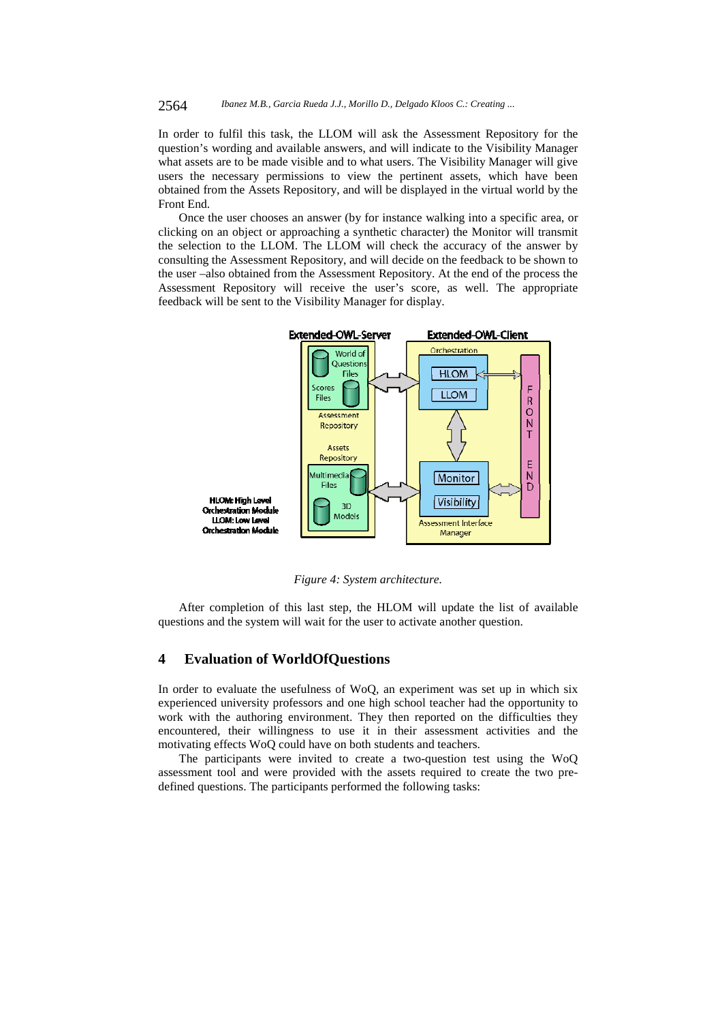In order to fulfil this task, the LLOM will ask the Assessment Repository for the question's wording and available answers, and will indicate to the Visibility Manager what assets are to be made visible and to what users. The Visibility Manager will give users the necessary permissions to view the pertinent assets, which have been obtained from the Assets Repository, and will be displayed in the virtual world by the Front End.

Once the user chooses an answer (by for instance walking into a specific area, or clicking on an object or approaching a synthetic character) the Monitor will transmit the selection to the LLOM. The LLOM will check the accuracy of the answer by consulting the Assessment Repository, and will decide on the feedback to be shown to the user –also obtained from the Assessment Repository. At the end of the process the Assessment Repository will receive the user's score, as well. The appropriate feedback will be sent to the Visibility Manager for display.



*Figure 4: System architecture.* 

After completion of this last step, the HLOM will update the list of available questions and the system will wait for the user to activate another question.

## **4 Evaluation of WorldOfQuestions**

In order to evaluate the usefulness of WoQ, an experiment was set up in which six experienced university professors and one high school teacher had the opportunity to work with the authoring environment. They then reported on the difficulties they encountered, their willingness to use it in their assessment activities and the motivating effects WoQ could have on both students and teachers.

The participants were invited to create a two-question test using the WoQ assessment tool and were provided with the assets required to create the two predefined questions. The participants performed the following tasks: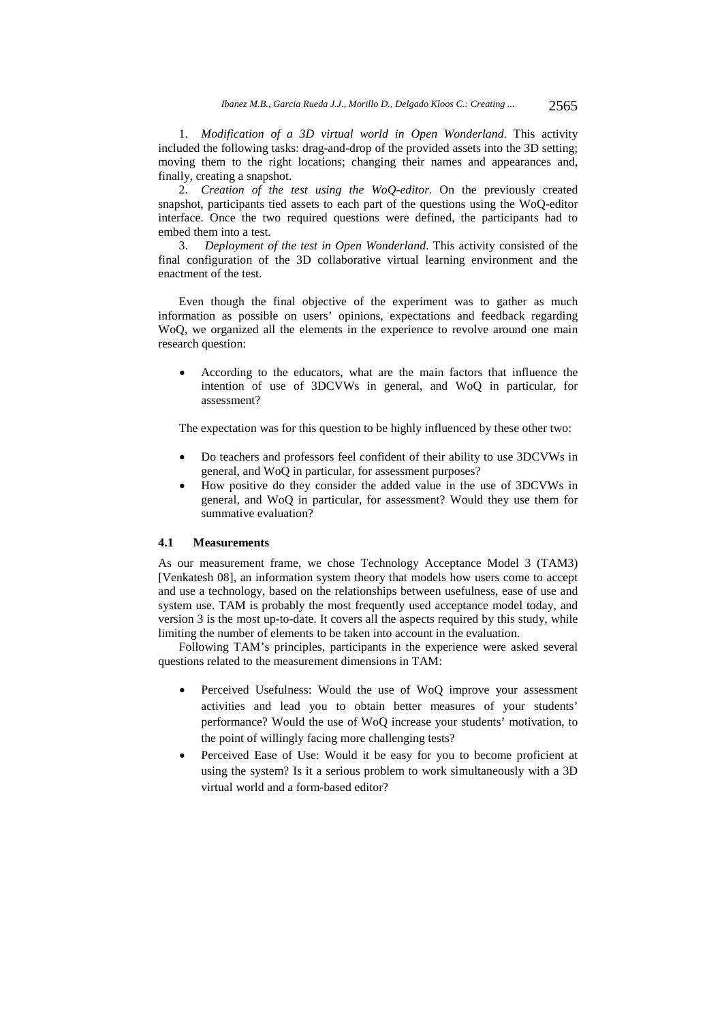1. *Modification of a 3D virtual world in Open Wonderland*. This activity included the following tasks: drag-and-drop of the provided assets into the 3D setting; moving them to the right locations; changing their names and appearances and, finally, creating a snapshot.

2. *Creation of the test using the WoQ-editor*. On the previously created snapshot, participants tied assets to each part of the questions using the WoQ-editor interface. Once the two required questions were defined, the participants had to embed them into a test.

3. *Deployment of the test in Open Wonderland*. This activity consisted of the final configuration of the 3D collaborative virtual learning environment and the enactment of the test.

Even though the final objective of the experiment was to gather as much information as possible on users' opinions, expectations and feedback regarding WoQ, we organized all the elements in the experience to revolve around one main research question:

 According to the educators, what are the main factors that influence the intention of use of 3DCVWs in general, and WoQ in particular, for assessment?

The expectation was for this question to be highly influenced by these other two:

- Do teachers and professors feel confident of their ability to use 3DCVWs in general, and WoQ in particular, for assessment purposes?
- How positive do they consider the added value in the use of 3DCVWs in general, and WoQ in particular, for assessment? Would they use them for summative evaluation?

## **4.1 Measurements**

As our measurement frame, we chose Technology Acceptance Model 3 (TAM3) [Venkatesh 08], an information system theory that models how users come to accept and use a technology, based on the relationships between usefulness, ease of use and system use. TAM is probably the most frequently used acceptance model today, and version 3 is the most up-to-date. It covers all the aspects required by this study, while limiting the number of elements to be taken into account in the evaluation.

Following TAM's principles, participants in the experience were asked several questions related to the measurement dimensions in TAM:

- Perceived Usefulness: Would the use of WoQ improve your assessment activities and lead you to obtain better measures of your students' performance? Would the use of WoQ increase your students' motivation, to the point of willingly facing more challenging tests?
- Perceived Ease of Use: Would it be easy for you to become proficient at using the system? Is it a serious problem to work simultaneously with a 3D virtual world and a form-based editor?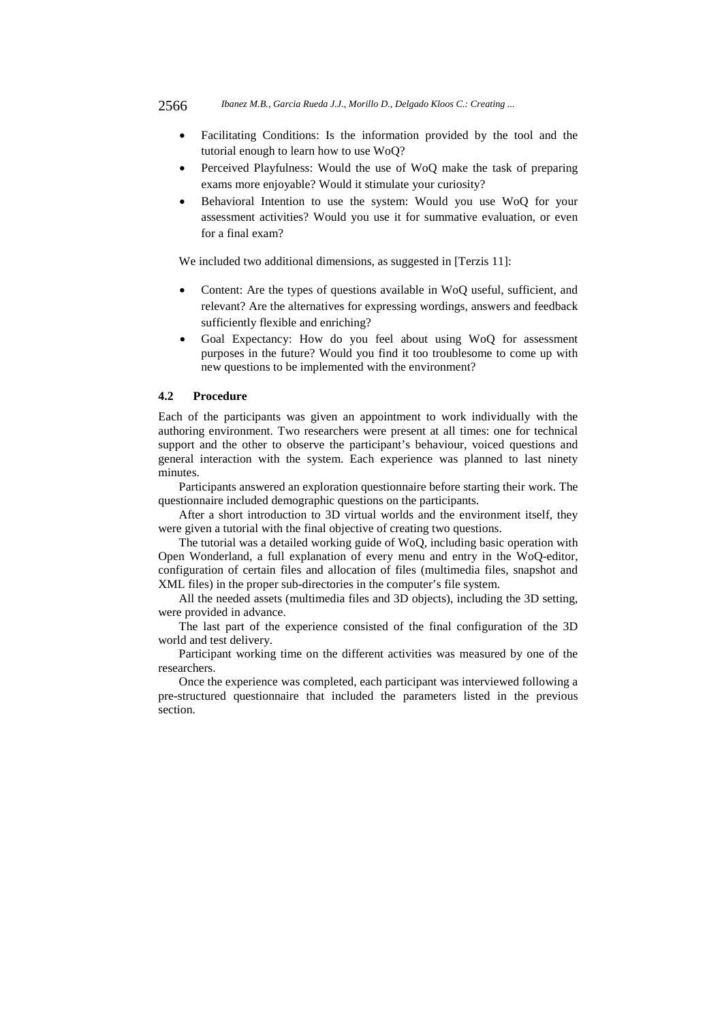- Facilitating Conditions: Is the information provided by the tool and the tutorial enough to learn how to use WoQ?
- Perceived Playfulness: Would the use of WoQ make the task of preparing exams more enjoyable? Would it stimulate your curiosity?
- Behavioral Intention to use the system: Would you use WoQ for your assessment activities? Would you use it for summative evaluation, or even for a final exam?

We included two additional dimensions, as suggested in [Terzis 11]:

- Content: Are the types of questions available in WoQ useful, sufficient, and relevant? Are the alternatives for expressing wordings, answers and feedback sufficiently flexible and enriching?
- Goal Expectancy: How do you feel about using WoQ for assessment purposes in the future? Would you find it too troublesome to come up with new questions to be implemented with the environment?

### **4.2 Procedure**

Each of the participants was given an appointment to work individually with the authoring environment. Two researchers were present at all times: one for technical support and the other to observe the participant's behaviour, voiced questions and general interaction with the system. Each experience was planned to last ninety minutes.

Participants answered an exploration questionnaire before starting their work. The questionnaire included demographic questions on the participants.

After a short introduction to 3D virtual worlds and the environment itself, they were given a tutorial with the final objective of creating two questions.

The tutorial was a detailed working guide of WoQ, including basic operation with Open Wonderland, a full explanation of every menu and entry in the WoQ-editor, configuration of certain files and allocation of files (multimedia files, snapshot and XML files) in the proper sub-directories in the computer's file system.

All the needed assets (multimedia files and 3D objects), including the 3D setting, were provided in advance.

The last part of the experience consisted of the final configuration of the 3D world and test delivery.

Participant working time on the different activities was measured by one of the researchers.

Once the experience was completed, each participant was interviewed following a pre-structured questionnaire that included the parameters listed in the previous section.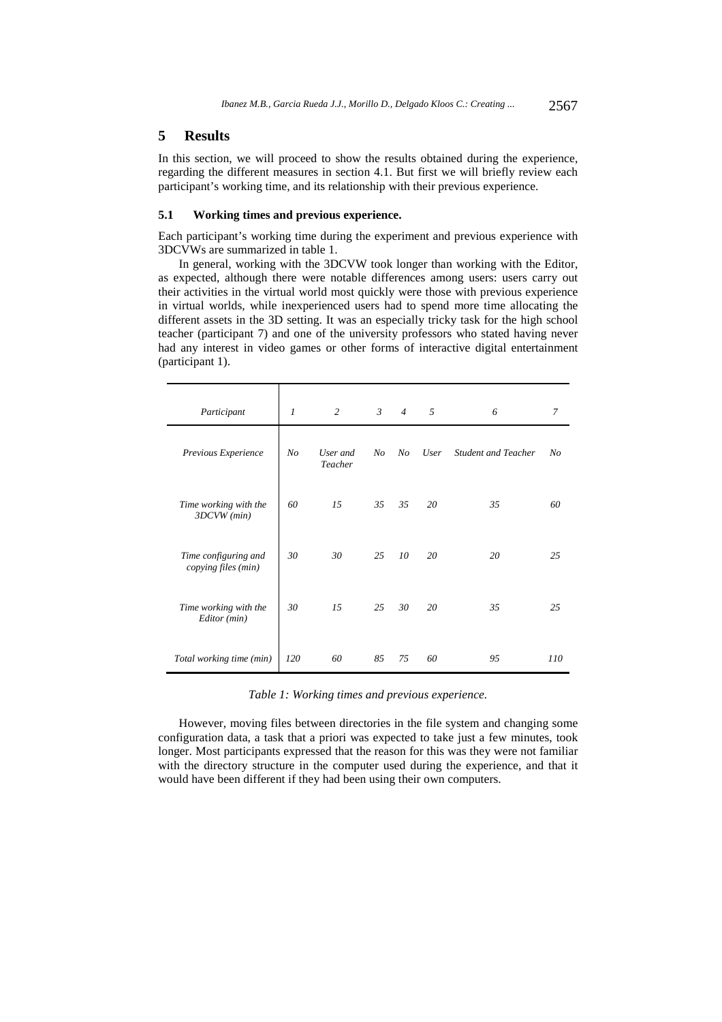### **5 Results**

In this section, we will proceed to show the results obtained during the experience, regarding the different measures in section 4.1. But first we will briefly review each participant's working time, and its relationship with their previous experience.

#### **5.1 Working times and previous experience.**

Each participant's working time during the experiment and previous experience with 3DCVWs are summarized in table 1.

In general, working with the 3DCVW took longer than working with the Editor, as expected, although there were notable differences among users: users carry out their activities in the virtual world most quickly were those with previous experience in virtual worlds, while inexperienced users had to spend more time allocating the different assets in the 3D setting. It was an especially tricky task for the high school teacher (participant 7) and one of the university professors who stated having never had any interest in video games or other forms of interactive digital entertainment (participant 1).

| Participant                                 | $\mathfrak{1}$ | 2                   | $\mathfrak{Z}$ | $\overline{4}$ | 5    | 6                          | 7   |
|---------------------------------------------|----------------|---------------------|----------------|----------------|------|----------------------------|-----|
| Previous Experience                         | No             | User and<br>Teacher | No             | No             | User | <b>Student and Teacher</b> | No  |
| Time working with the<br>3DCVW (min)        | 60             | 15                  | 35             | 35             | 20   | 35                         | 60  |
| Time configuring and<br>copying files (min) | 30             | 30                  | 25             | 10             | 20   | 20                         | 25  |
| Time working with the<br>Editor (min)       | 30             | 15                  | 25             | 30             | 20   | 35                         | 25  |
| Total working time (min)                    | 120            | 60                  | 85             | 75             | 60   | 95                         | 110 |

*Table 1: Working times and previous experience.* 

However, moving files between directories in the file system and changing some configuration data, a task that a priori was expected to take just a few minutes, took longer. Most participants expressed that the reason for this was they were not familiar with the directory structure in the computer used during the experience, and that it would have been different if they had been using their own computers.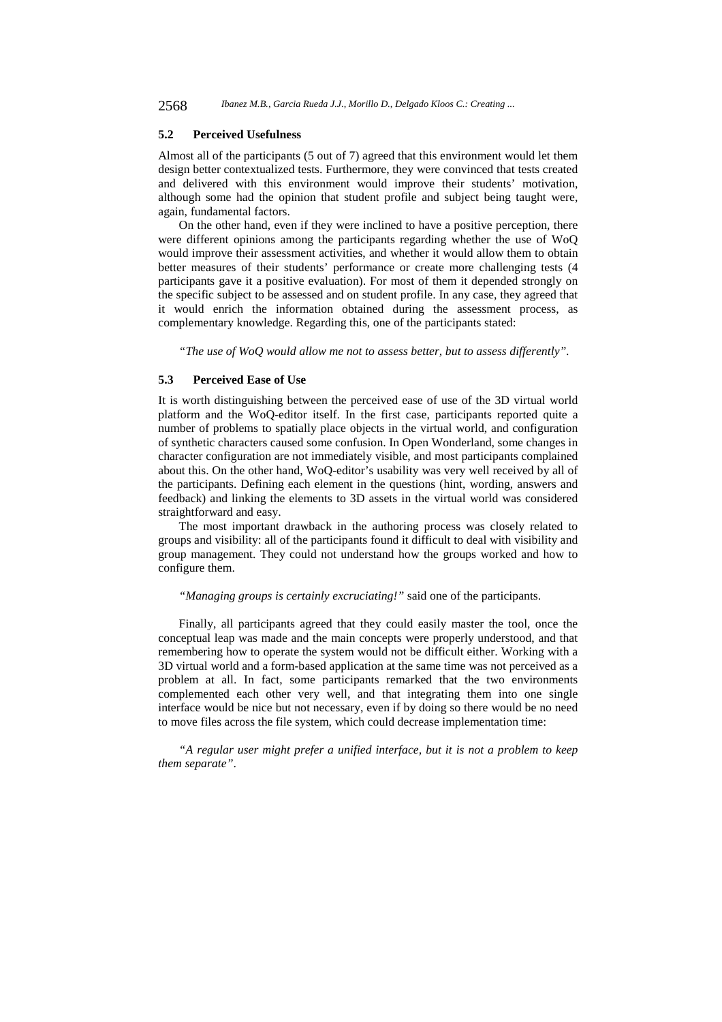#### **5.2 Perceived Usefulness**

Almost all of the participants (5 out of 7) agreed that this environment would let them design better contextualized tests. Furthermore, they were convinced that tests created and delivered with this environment would improve their students' motivation, although some had the opinion that student profile and subject being taught were, again, fundamental factors.

On the other hand, even if they were inclined to have a positive perception, there were different opinions among the participants regarding whether the use of WoQ would improve their assessment activities, and whether it would allow them to obtain better measures of their students' performance or create more challenging tests (4 participants gave it a positive evaluation). For most of them it depended strongly on the specific subject to be assessed and on student profile. In any case, they agreed that it would enrich the information obtained during the assessment process, as complementary knowledge. Regarding this, one of the participants stated:

*"The use of WoQ would allow me not to assess better, but to assess differently"*.

### **5.3 Perceived Ease of Use**

It is worth distinguishing between the perceived ease of use of the 3D virtual world platform and the WoQ-editor itself. In the first case, participants reported quite a number of problems to spatially place objects in the virtual world, and configuration of synthetic characters caused some confusion. In Open Wonderland, some changes in character configuration are not immediately visible, and most participants complained about this. On the other hand, WoQ-editor's usability was very well received by all of the participants. Defining each element in the questions (hint, wording, answers and feedback) and linking the elements to 3D assets in the virtual world was considered straightforward and easy.

The most important drawback in the authoring process was closely related to groups and visibility: all of the participants found it difficult to deal with visibility and group management. They could not understand how the groups worked and how to configure them.

#### *"Managing groups is certainly excruciating!"* said one of the participants.

Finally, all participants agreed that they could easily master the tool, once the conceptual leap was made and the main concepts were properly understood, and that remembering how to operate the system would not be difficult either. Working with a 3D virtual world and a form-based application at the same time was not perceived as a problem at all. In fact, some participants remarked that the two environments complemented each other very well, and that integrating them into one single interface would be nice but not necessary, even if by doing so there would be no need to move files across the file system, which could decrease implementation time:

*"A regular user might prefer a unified interface, but it is not a problem to keep them separate"*.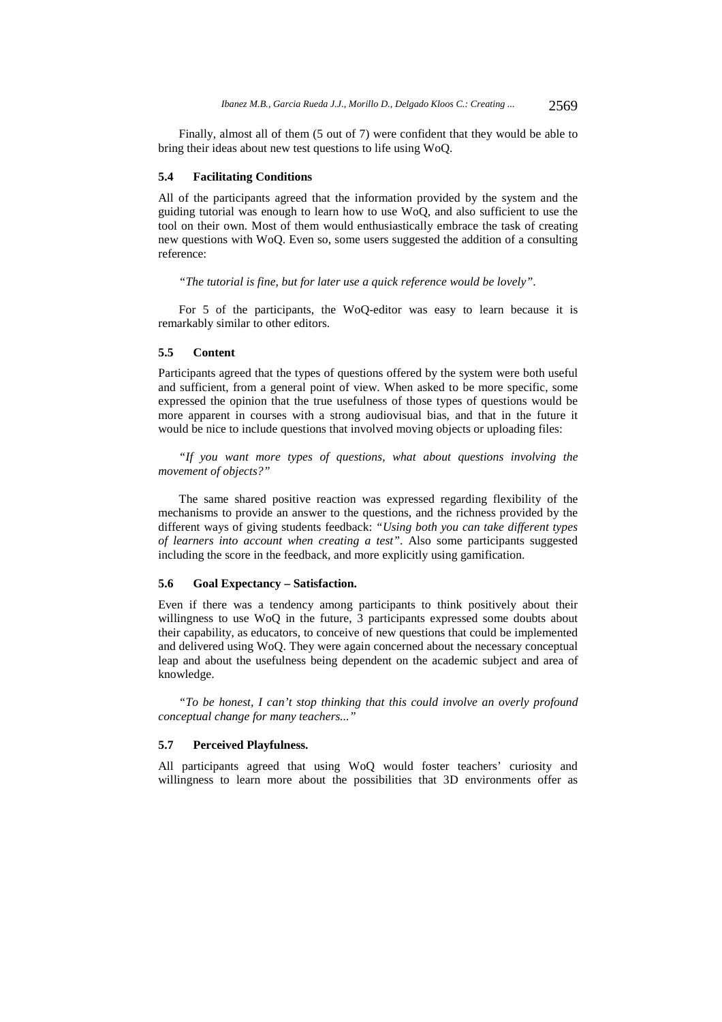Finally, almost all of them (5 out of 7) were confident that they would be able to bring their ideas about new test questions to life using WoQ.

#### **5.4 Facilitating Conditions**

All of the participants agreed that the information provided by the system and the guiding tutorial was enough to learn how to use WoQ, and also sufficient to use the tool on their own. Most of them would enthusiastically embrace the task of creating new questions with WoQ. Even so, some users suggested the addition of a consulting reference:

*"The tutorial is fine, but for later use a quick reference would be lovely"*.

For 5 of the participants, the WoQ-editor was easy to learn because it is remarkably similar to other editors.

#### **5.5 Content**

Participants agreed that the types of questions offered by the system were both useful and sufficient, from a general point of view. When asked to be more specific, some expressed the opinion that the true usefulness of those types of questions would be more apparent in courses with a strong audiovisual bias, and that in the future it would be nice to include questions that involved moving objects or uploading files:

*"If you want more types of questions, what about questions involving the movement of objects?"* 

The same shared positive reaction was expressed regarding flexibility of the mechanisms to provide an answer to the questions, and the richness provided by the different ways of giving students feedback: *"Using both you can take different types of learners into account when creating a test"*. Also some participants suggested including the score in the feedback, and more explicitly using gamification.

## **5.6 Goal Expectancy – Satisfaction.**

Even if there was a tendency among participants to think positively about their willingness to use WoQ in the future, 3 participants expressed some doubts about their capability, as educators, to conceive of new questions that could be implemented and delivered using WoQ. They were again concerned about the necessary conceptual leap and about the usefulness being dependent on the academic subject and area of knowledge.

*"To be honest, I can't stop thinking that this could involve an overly profound conceptual change for many teachers..."* 

#### **5.7 Perceived Playfulness.**

All participants agreed that using WoQ would foster teachers' curiosity and willingness to learn more about the possibilities that 3D environments offer as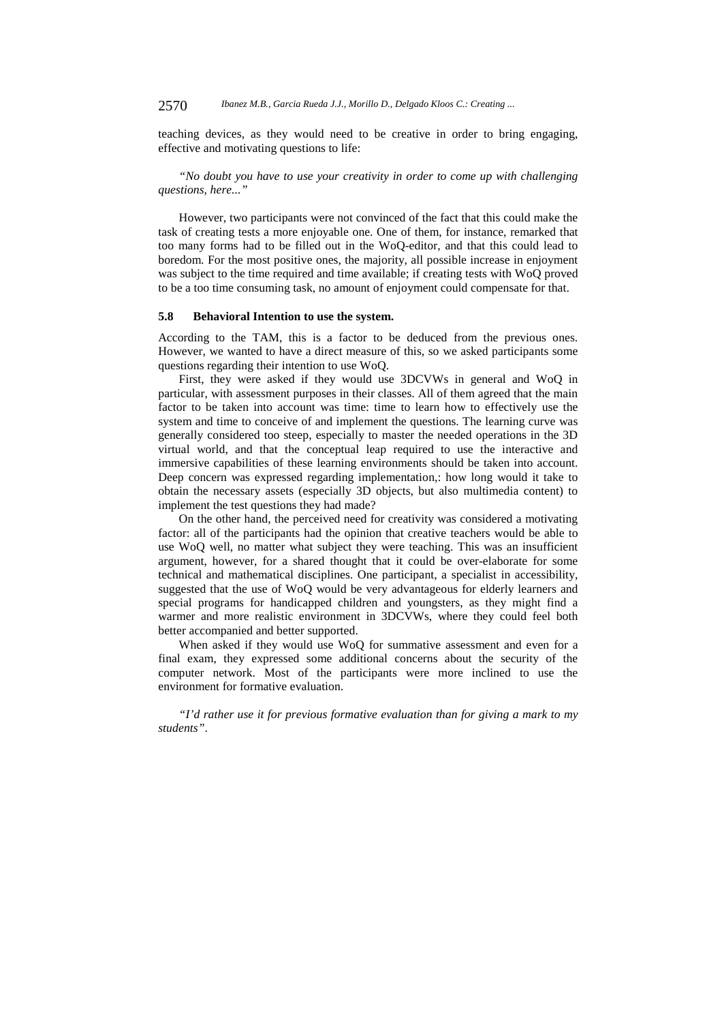teaching devices, as they would need to be creative in order to bring engaging, effective and motivating questions to life:

*"No doubt you have to use your creativity in order to come up with challenging questions, here..."* 

However, two participants were not convinced of the fact that this could make the task of creating tests a more enjoyable one. One of them, for instance, remarked that too many forms had to be filled out in the WoQ-editor, and that this could lead to boredom. For the most positive ones, the majority, all possible increase in enjoyment was subject to the time required and time available; if creating tests with WoQ proved to be a too time consuming task, no amount of enjoyment could compensate for that.

#### **5.8 Behavioral Intention to use the system.**

According to the TAM, this is a factor to be deduced from the previous ones. However, we wanted to have a direct measure of this, so we asked participants some questions regarding their intention to use WoQ.

First, they were asked if they would use 3DCVWs in general and WoQ in particular, with assessment purposes in their classes. All of them agreed that the main factor to be taken into account was time: time to learn how to effectively use the system and time to conceive of and implement the questions. The learning curve was generally considered too steep, especially to master the needed operations in the 3D virtual world, and that the conceptual leap required to use the interactive and immersive capabilities of these learning environments should be taken into account. Deep concern was expressed regarding implementation,: how long would it take to obtain the necessary assets (especially 3D objects, but also multimedia content) to implement the test questions they had made?

On the other hand, the perceived need for creativity was considered a motivating factor: all of the participants had the opinion that creative teachers would be able to use WoQ well, no matter what subject they were teaching. This was an insufficient argument, however, for a shared thought that it could be over-elaborate for some technical and mathematical disciplines. One participant, a specialist in accessibility, suggested that the use of WoQ would be very advantageous for elderly learners and special programs for handicapped children and youngsters, as they might find a warmer and more realistic environment in 3DCVWs, where they could feel both better accompanied and better supported.

When asked if they would use WoQ for summative assessment and even for a final exam, they expressed some additional concerns about the security of the computer network. Most of the participants were more inclined to use the environment for formative evaluation.

*"I'd rather use it for previous formative evaluation than for giving a mark to my students"*.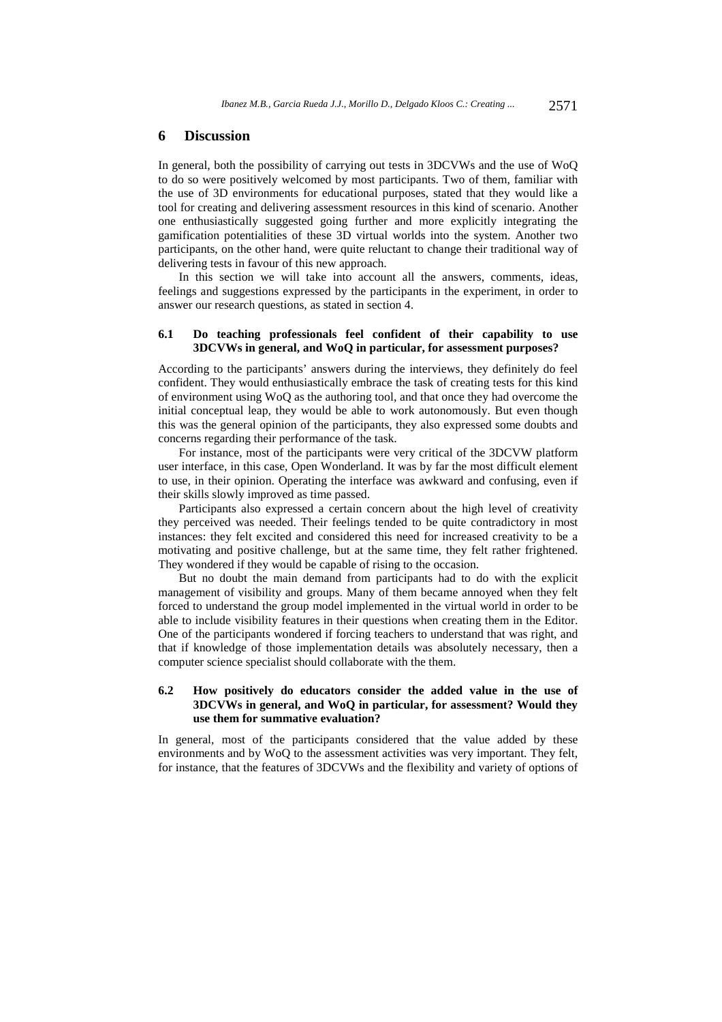#### **6 Discussion**

In general, both the possibility of carrying out tests in 3DCVWs and the use of WoQ to do so were positively welcomed by most participants. Two of them, familiar with the use of 3D environments for educational purposes, stated that they would like a tool for creating and delivering assessment resources in this kind of scenario. Another one enthusiastically suggested going further and more explicitly integrating the gamification potentialities of these 3D virtual worlds into the system. Another two participants, on the other hand, were quite reluctant to change their traditional way of delivering tests in favour of this new approach.

In this section we will take into account all the answers, comments, ideas, feelings and suggestions expressed by the participants in the experiment, in order to answer our research questions, as stated in section 4.

### **6.1 Do teaching professionals feel confident of their capability to use 3DCVWs in general, and WoQ in particular, for assessment purposes?**

According to the participants' answers during the interviews, they definitely do feel confident. They would enthusiastically embrace the task of creating tests for this kind of environment using WoQ as the authoring tool, and that once they had overcome the initial conceptual leap, they would be able to work autonomously. But even though this was the general opinion of the participants, they also expressed some doubts and concerns regarding their performance of the task.

For instance, most of the participants were very critical of the 3DCVW platform user interface, in this case, Open Wonderland. It was by far the most difficult element to use, in their opinion. Operating the interface was awkward and confusing, even if their skills slowly improved as time passed.

Participants also expressed a certain concern about the high level of creativity they perceived was needed. Their feelings tended to be quite contradictory in most instances: they felt excited and considered this need for increased creativity to be a motivating and positive challenge, but at the same time, they felt rather frightened. They wondered if they would be capable of rising to the occasion.

But no doubt the main demand from participants had to do with the explicit management of visibility and groups. Many of them became annoyed when they felt forced to understand the group model implemented in the virtual world in order to be able to include visibility features in their questions when creating them in the Editor. One of the participants wondered if forcing teachers to understand that was right, and that if knowledge of those implementation details was absolutely necessary, then a computer science specialist should collaborate with the them.

### **6.2 How positively do educators consider the added value in the use of 3DCVWs in general, and WoQ in particular, for assessment? Would they use them for summative evaluation?**

In general, most of the participants considered that the value added by these environments and by WoQ to the assessment activities was very important. They felt, for instance, that the features of 3DCVWs and the flexibility and variety of options of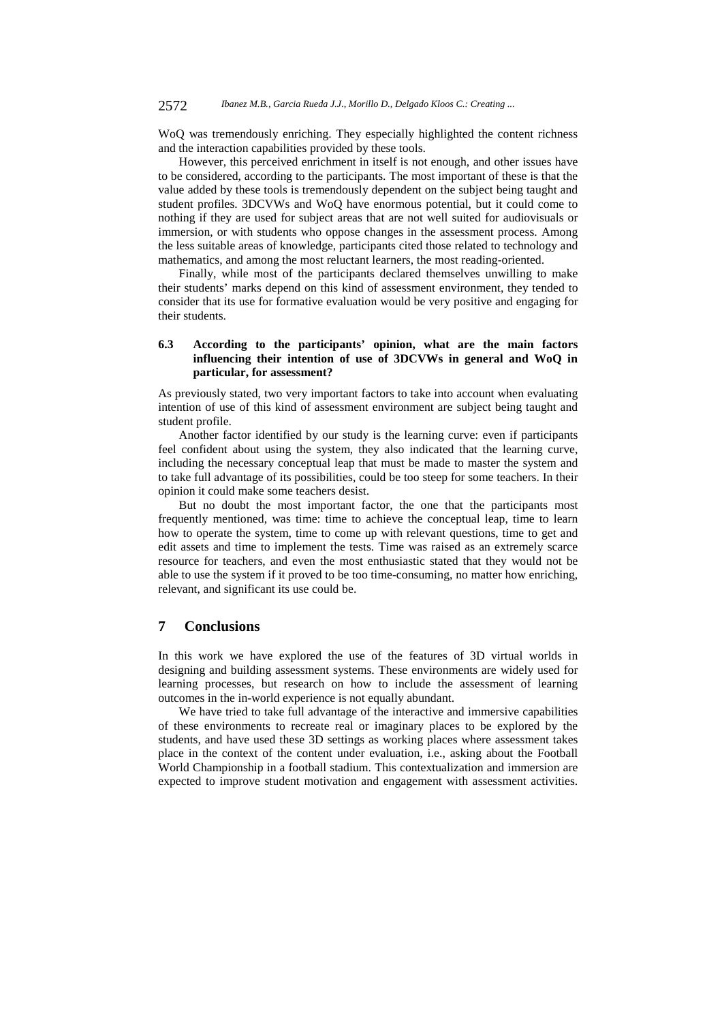WoQ was tremendously enriching. They especially highlighted the content richness and the interaction capabilities provided by these tools.

However, this perceived enrichment in itself is not enough, and other issues have to be considered, according to the participants. The most important of these is that the value added by these tools is tremendously dependent on the subject being taught and student profiles. 3DCVWs and WoQ have enormous potential, but it could come to nothing if they are used for subject areas that are not well suited for audiovisuals or immersion, or with students who oppose changes in the assessment process. Among the less suitable areas of knowledge, participants cited those related to technology and mathematics, and among the most reluctant learners, the most reading-oriented.

Finally, while most of the participants declared themselves unwilling to make their students' marks depend on this kind of assessment environment, they tended to consider that its use for formative evaluation would be very positive and engaging for their students.

## **6.3 According to the participants' opinion, what are the main factors influencing their intention of use of 3DCVWs in general and WoQ in particular, for assessment?**

As previously stated, two very important factors to take into account when evaluating intention of use of this kind of assessment environment are subject being taught and student profile.

Another factor identified by our study is the learning curve: even if participants feel confident about using the system, they also indicated that the learning curve, including the necessary conceptual leap that must be made to master the system and to take full advantage of its possibilities, could be too steep for some teachers. In their opinion it could make some teachers desist.

But no doubt the most important factor, the one that the participants most frequently mentioned, was time: time to achieve the conceptual leap, time to learn how to operate the system, time to come up with relevant questions, time to get and edit assets and time to implement the tests. Time was raised as an extremely scarce resource for teachers, and even the most enthusiastic stated that they would not be able to use the system if it proved to be too time-consuming, no matter how enriching, relevant, and significant its use could be.

## **7 Conclusions**

In this work we have explored the use of the features of 3D virtual worlds in designing and building assessment systems. These environments are widely used for learning processes, but research on how to include the assessment of learning outcomes in the in-world experience is not equally abundant.

We have tried to take full advantage of the interactive and immersive capabilities of these environments to recreate real or imaginary places to be explored by the students, and have used these 3D settings as working places where assessment takes place in the context of the content under evaluation, i.e., asking about the Football World Championship in a football stadium. This contextualization and immersion are expected to improve student motivation and engagement with assessment activities.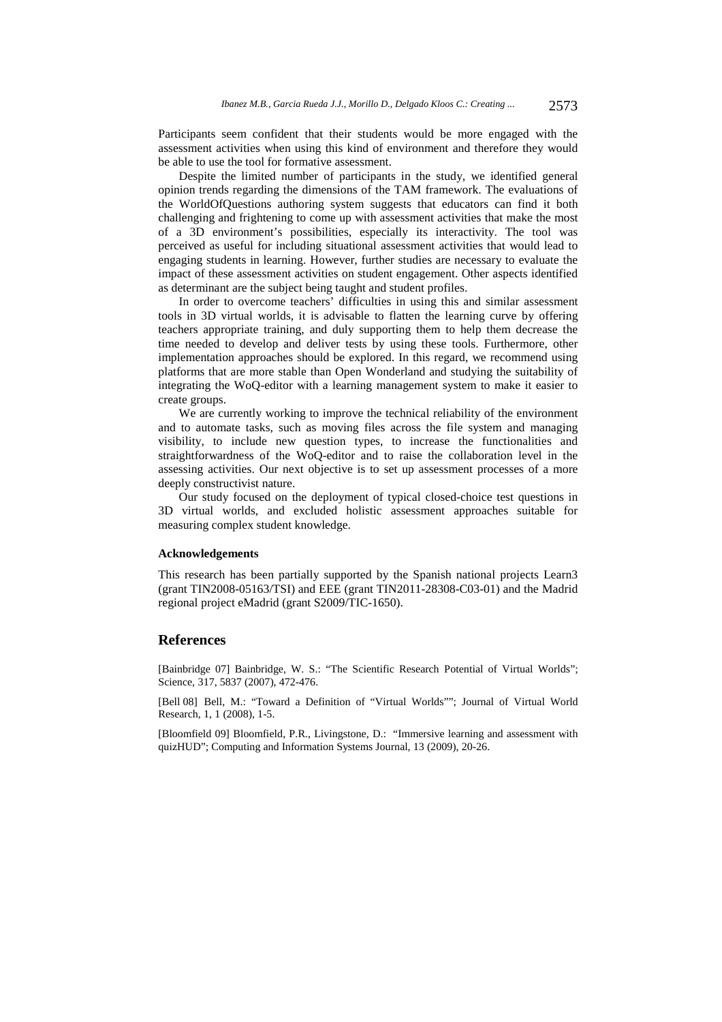Participants seem confident that their students would be more engaged with the assessment activities when using this kind of environment and therefore they would be able to use the tool for formative assessment.

Despite the limited number of participants in the study, we identified general opinion trends regarding the dimensions of the TAM framework. The evaluations of the WorldOfQuestions authoring system suggests that educators can find it both challenging and frightening to come up with assessment activities that make the most of a 3D environment's possibilities, especially its interactivity. The tool was perceived as useful for including situational assessment activities that would lead to engaging students in learning. However, further studies are necessary to evaluate the impact of these assessment activities on student engagement. Other aspects identified as determinant are the subject being taught and student profiles.

In order to overcome teachers' difficulties in using this and similar assessment tools in 3D virtual worlds, it is advisable to flatten the learning curve by offering teachers appropriate training, and duly supporting them to help them decrease the time needed to develop and deliver tests by using these tools. Furthermore, other implementation approaches should be explored. In this regard, we recommend using platforms that are more stable than Open Wonderland and studying the suitability of integrating the WoQ-editor with a learning management system to make it easier to create groups.

We are currently working to improve the technical reliability of the environment and to automate tasks, such as moving files across the file system and managing visibility, to include new question types, to increase the functionalities and straightforwardness of the WoQ-editor and to raise the collaboration level in the assessing activities. Our next objective is to set up assessment processes of a more deeply constructivist nature.

Our study focused on the deployment of typical closed-choice test questions in 3D virtual worlds, and excluded holistic assessment approaches suitable for measuring complex student knowledge.

#### **Acknowledgements**

This research has been partially supported by the Spanish national projects Learn3 (grant TIN2008-05163/TSI) and EEE (grant TIN2011-28308-C03-01) and the Madrid regional project eMadrid (grant S2009/TIC-1650).

#### **References**

[Bainbridge 07] Bainbridge, W. S.: "The Scientific Research Potential of Virtual Worlds"; Science*,* 317, 5837 (2007), 472-476.

[Bell 08] Bell, M.: "Toward a Definition of "Virtual Worlds""; Journal of Virtual World Research, 1, 1 (2008), 1-5.

[Bloomfield 09] Bloomfield, P.R., Livingstone, D.: "Immersive learning and assessment with quizHUD"; Computing and Information Systems Journal, 13 (2009), 20-26.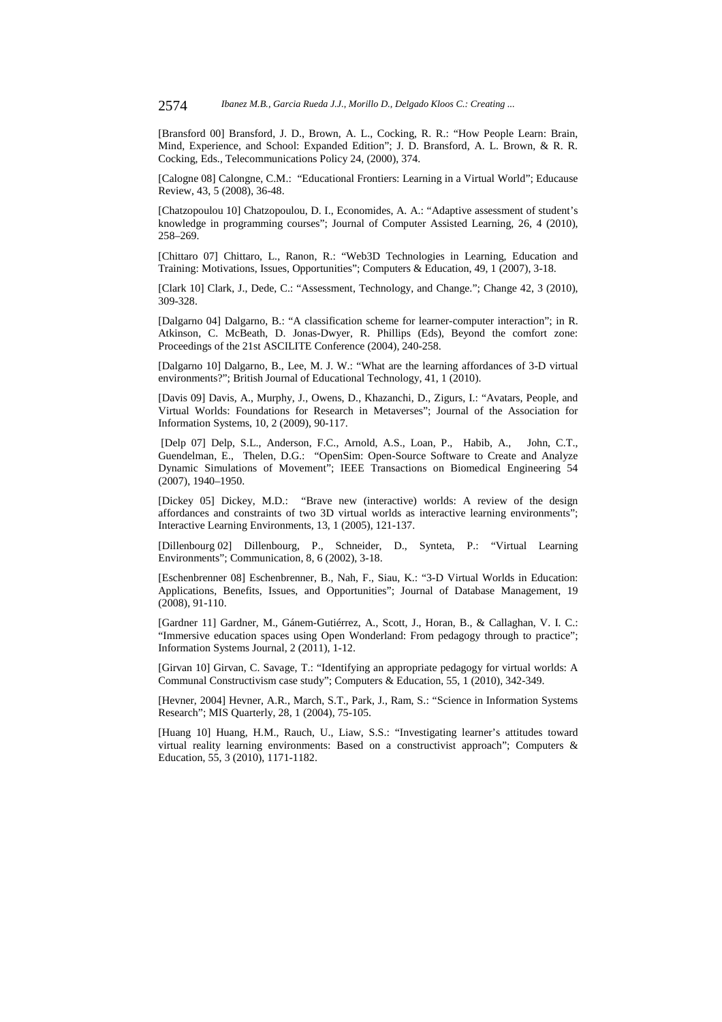[Bransford 00] Bransford, J. D., Brown, A. L., Cocking, R. R.: "How People Learn: Brain, Mind, Experience, and School: Expanded Edition"; J. D. Bransford, A. L. Brown, & R. R. Cocking, Eds., Telecommunications Policy 24, (2000), 374.

[Calogne 08] Calongne, C.M.: "Educational Frontiers: Learning in a Virtual World"; Educause Review, 43, 5 (2008), 36-48.

[Chatzopoulou 10] Chatzopoulou, D. I., Economides, A. A.: "Adaptive assessment of student's knowledge in programming courses"; Journal of Computer Assisted Learning, 26, 4 (2010), 258–269.

[Chittaro 07] Chittaro, L., Ranon, R.: "Web3D Technologies in Learning, Education and Training: Motivations, Issues, Opportunities"; Computers & Education, 49, 1 (2007), 3-18.

[Clark 10] Clark, J., Dede, C.: "Assessment, Technology, and Change."; Change 42, 3 (2010), 309-328.

[Dalgarno 04] Dalgarno, B.: "A classification scheme for learner-computer interaction"; in R. Atkinson, C. McBeath, D. Jonas-Dwyer, R. Phillips (Eds), Beyond the comfort zone: Proceedings of the 21st ASCILITE Conference (2004), 240-258.

[Dalgarno 10] Dalgarno, B., Lee, M. J. W.: "What are the learning affordances of 3-D virtual environments?"; British Journal of Educational Technology, 41, 1 (2010).

[Davis 09] Davis, A., Murphy, J., Owens, D., Khazanchi, D., Zigurs, I.: "Avatars, People, and Virtual Worlds: Foundations for Research in Metaverses"; Journal of the Association for Information Systems, 10, 2 (2009), 90-117.

 [Delp 07] Delp, S.L., Anderson, F.C., Arnold, A.S., Loan, P., Habib, A., John, C.T., Guendelman, E., Thelen, D.G.: "OpenSim: Open-Source Software to Create and Analyze Dynamic Simulations of Movement"; IEEE Transactions on Biomedical Engineering 54 (2007), 1940–1950.

[Dickey 05] Dickey, M.D.: "Brave new (interactive) worlds: A review of the design affordances and constraints of two 3D virtual worlds as interactive learning environments"; Interactive Learning Environments, 13, 1 (2005), 121-137.

[Dillenbourg 02] Dillenbourg, P., Schneider, D., Synteta, P.: "Virtual Learning Environments"; Communication, 8, 6 (2002), 3-18.

[Eschenbrenner 08] Eschenbrenner, B., Nah, F., Siau, K.: "3-D Virtual Worlds in Education: Applications, Benefits, Issues, and Opportunities"; Journal of Database Management, 19 (2008), 91-110.

[Gardner 11] Gardner, M., Gánem-Gutiérrez, A., Scott, J., Horan, B., & Callaghan, V. I. C.: "Immersive education spaces using Open Wonderland: From pedagogy through to practice"; Information Systems Journal, 2 (2011), 1-12.

[Girvan 10] Girvan, C. Savage, T.: "Identifying an appropriate pedagogy for virtual worlds: A Communal Constructivism case study"; Computers & Education, 55, 1 (2010), 342-349.

[Hevner, 2004] Hevner, A.R., March, S.T., Park, J., Ram, S.: "Science in Information Systems Research"; MIS Quarterly, 28, 1 (2004), 75-105.

[Huang 10] Huang, H.M., Rauch, U., Liaw, S.S.: "Investigating learner's attitudes toward virtual reality learning environments: Based on a constructivist approach"; Computers  $\&$ Education, 55, 3 (2010), 1171-1182.